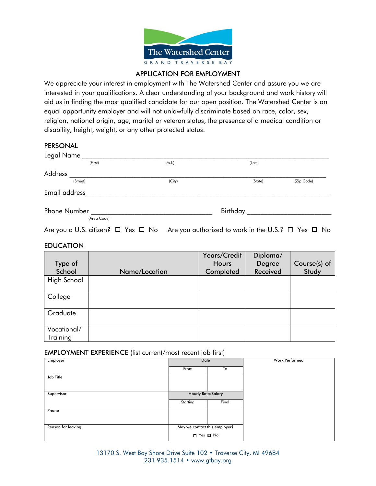

## APPLICATION FOR EMPLOYMENT

We appreciate your interest in employment with The Watershed Center and assure you we are interested in your qualifications. A clear understanding of your background and work history will aid us in finding the most qualified candidate for our open position. The Watershed Center is an equal opportunity employer and will not unlawfully discriminate based on race, color, sex, religion, national origin, age, marital or veteran status, the presence of a medical condition or disability, height, weight, or any other protected status.

# PERSONAL

| Legal Name    |             |        |          |            |
|---------------|-------------|--------|----------|------------|
|               | (First)     | (M.I.) | (Last)   |            |
| Address       |             |        |          |            |
| (Street)      |             | (City) | (State)  | (Zip Code) |
| Email address |             |        |          |            |
| Phone Number  |             |        | Birthday |            |
|               | (Area Code) |        |          |            |

Are you a U.S. citizen?  $\Box$  Yes  $\Box$  No Are you authorized to work in the U.S.?  $\Box$  Yes  $\Box$  No

### EDUCATION

| Type of                 |               | Years/Credit<br><b>Hours</b> | Diploma/<br>Degree | Course(s) of |
|-------------------------|---------------|------------------------------|--------------------|--------------|
| School                  | Name/Location | Completed                    | Received           | Study        |
| High School             |               |                              |                    |              |
| College                 |               |                              |                    |              |
| Graduate                |               |                              |                    |              |
| Vocational/<br>Training |               |                              |                    |              |

## EMPLOYMENT EXPERIENCE (list current/most recent job first)

| $\mathbf{v}$       | . .                           | $\mathbf{r}$ |                |
|--------------------|-------------------------------|--------------|----------------|
| Employer           | Date                          |              | Work Performed |
|                    | From                          | To           |                |
| Job Title          |                               |              |                |
|                    |                               |              |                |
| Supervisor         | <b>Hourly Rate/Salary</b>     |              |                |
|                    | Starting                      | Final        |                |
| Phone              |                               |              |                |
|                    |                               |              |                |
| Reason for leaving | May we contact this employer? |              |                |
|                    | $\Box$ Yes $\Box$ No          |              |                |